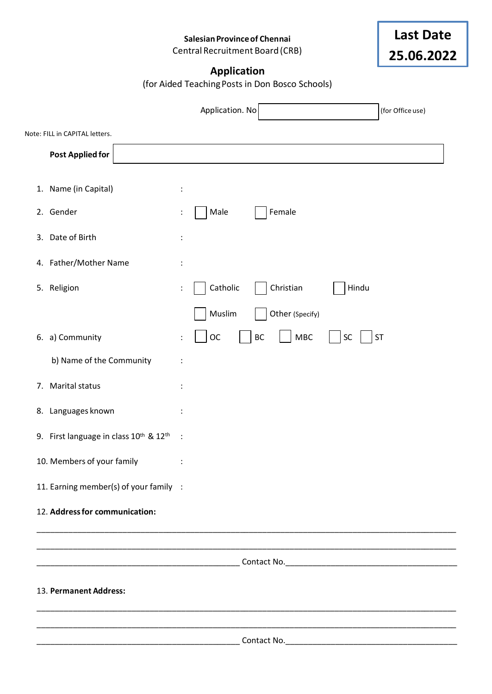**SalesianProvinceof Chennai**

Central Recruitment Board (CRB)



### **Application**

(for Aided TeachingPosts in Don Bosco Schools)

|    |                                                                |                      | Application. No               |       | (for Office use) |  |
|----|----------------------------------------------------------------|----------------------|-------------------------------|-------|------------------|--|
|    | Note: FILL in CAPITAL letters.                                 |                      |                               |       |                  |  |
|    | <b>Post Applied for</b>                                        |                      |                               |       |                  |  |
|    | 1. Name (in Capital)                                           | :                    |                               |       |                  |  |
|    | 2. Gender                                                      |                      | Male<br>Female                |       |                  |  |
|    | 3. Date of Birth                                               |                      |                               |       |                  |  |
|    | 4. Father/Mother Name                                          |                      |                               |       |                  |  |
|    | 5. Religion                                                    | $\ddot{\phantom{a}}$ | Catholic<br>Christian         | Hindu |                  |  |
|    |                                                                |                      | Muslim<br>Other (Specify)     |       |                  |  |
|    | 6. a) Community                                                | $\ddot{\cdot}$       | <b>OC</b><br><b>MBC</b><br>BC | SC    | ST               |  |
|    | b) Name of the Community                                       |                      |                               |       |                  |  |
| 7. | Marital status                                                 |                      |                               |       |                  |  |
|    | 8. Languages known                                             |                      |                               |       |                  |  |
|    | 9. First language in class 10 <sup>th</sup> & 12 <sup>th</sup> | $\ddot{\phantom{1}}$ |                               |       |                  |  |
|    | 10. Members of your family                                     |                      |                               |       |                  |  |
|    | 11. Earning member(s) of your family :                         |                      |                               |       |                  |  |
|    | 12. Address for communication:                                 |                      |                               |       |                  |  |
|    |                                                                |                      |                               |       |                  |  |
|    |                                                                |                      |                               |       |                  |  |
|    | 13. Permanent Address:                                         |                      |                               |       |                  |  |
|    |                                                                |                      |                               |       |                  |  |
|    |                                                                |                      |                               |       |                  |  |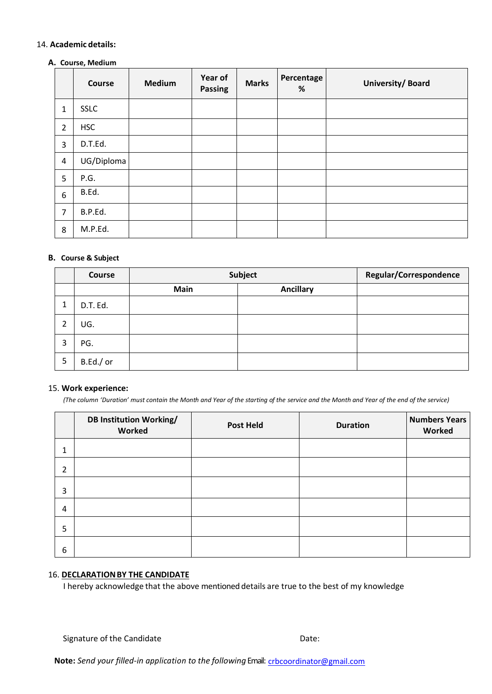#### 14. **Academic details:**

#### **A. Course, Medium**

|                | Course      | Medium | Year of<br>Passing | <b>Marks</b> | <b>Percentage</b><br>% | University/Board |
|----------------|-------------|--------|--------------------|--------------|------------------------|------------------|
| $\mathbf{1}$   | <b>SSLC</b> |        |                    |              |                        |                  |
| $\overline{2}$ | <b>HSC</b>  |        |                    |              |                        |                  |
| $\overline{3}$ | D.T.Ed.     |        |                    |              |                        |                  |
| $\overline{4}$ | UG/Diploma  |        |                    |              |                        |                  |
| 5              | P.G.        |        |                    |              |                        |                  |
| 6              | B.Ed.       |        |                    |              |                        |                  |
| $\overline{7}$ | B.P.Ed.     |        |                    |              |                        |                  |
| 8              | M.P.Ed.     |        |                    |              |                        |                  |

#### **B. Course & Subject**

|         | <b>Course</b> | Subject     |                  | Regular/Correspondence |
|---------|---------------|-------------|------------------|------------------------|
|         |               | <b>Main</b> | <b>Ancillary</b> |                        |
| 4<br>J. | D.T. Ed.      |             |                  |                        |
| า<br>▵  | UG.           |             |                  |                        |
| 3       | PG.           |             |                  |                        |
| 5       | B.Ed./ or     |             |                  |                        |

#### 15. **Work experience:**

*(The column 'Duration' must contain the Month and Year of the starting of the service and the Month and Year of the end of the service)*

|   | <b>DB Institution Working/</b><br>Worked | <b>Post Held</b> | <b>Duration</b> | <b>Numbers Years</b><br>Worked |
|---|------------------------------------------|------------------|-----------------|--------------------------------|
| 1 |                                          |                  |                 |                                |
| 2 |                                          |                  |                 |                                |
| 3 |                                          |                  |                 |                                |
| 4 |                                          |                  |                 |                                |
| 5 |                                          |                  |                 |                                |
| 6 |                                          |                  |                 |                                |

#### 16. **DECLARATIONBY THE CANDIDATE**

I hereby acknowledge that the above mentioned details are true to the best of my knowledge

Signature of the Candidate Date: Date: